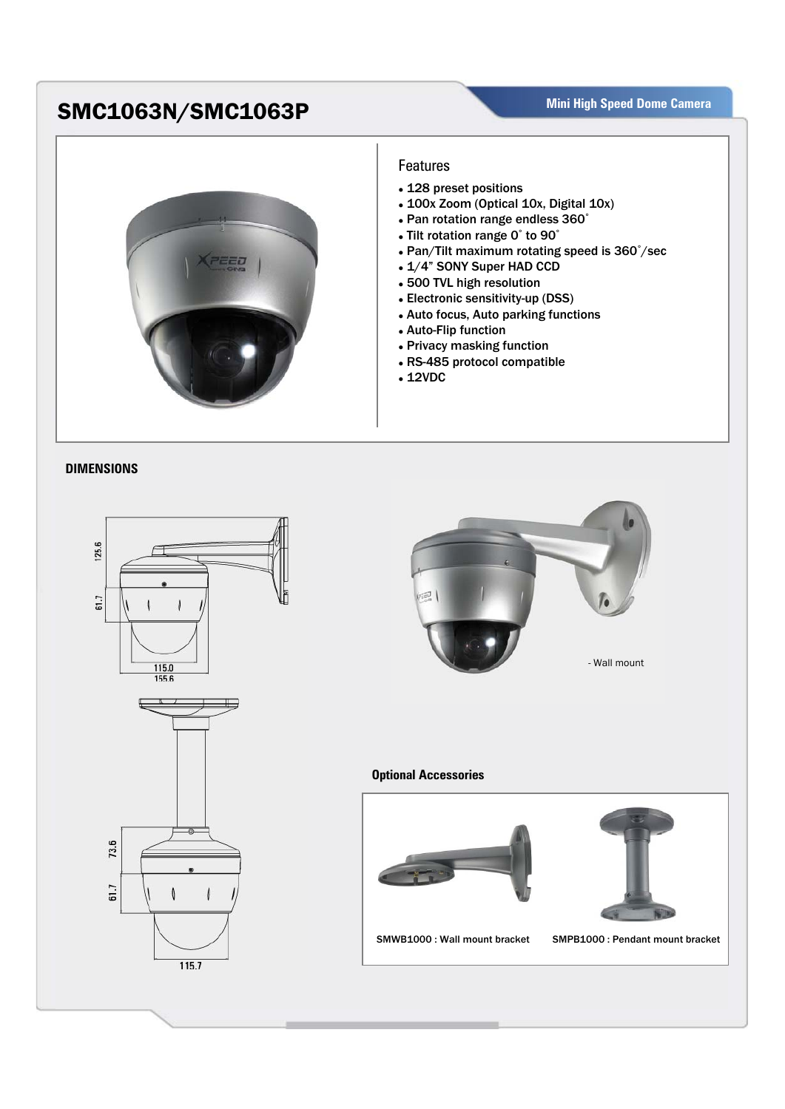## **SMC1063N/SMC1063P** Mini High Speed Dome Camera



## **Features**

- 128 preset positions
- 100x Zoom (Optical 10x, Digital 10x)
- Pan rotation range endless 360°
- Tilt rotation range 0° to 90°
- Pan/Tilt maximum rotating speed is 360°/sec
- 1/4" SONY Super HAD CCD
- 500 TVL high resolution
- Electronic sensitivity-up (DSS)
- Auto focus, Auto parking functions
- Auto-Flip function
- Privacy masking function
- RS-485 protocol compatible
- $\cdot$  12VDC

## **DIMENSIONS**





## **Optional Accessories**





SMWB1000 : Wall mount bracket SMPB1000 : Pendant mount bracket